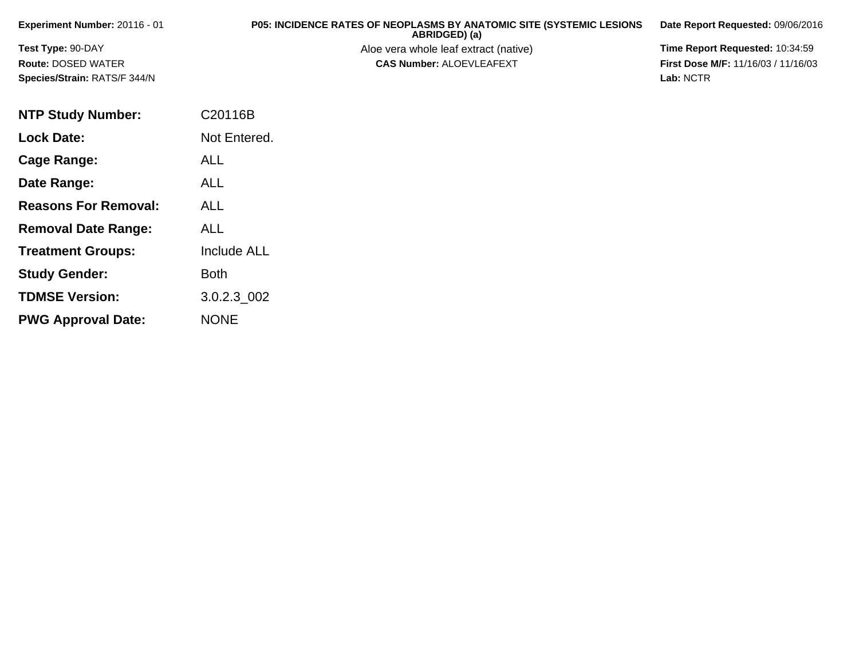| Experiment Number: 20116 - 01       | <b>P05: INCIDENCE RATES OF NEOPLASMS BY ANATOMIC SITE (SYSTEMIC LESIONS)</b><br>ABRIDGED) (a) | Date Report Requested: 09/06/2016          |
|-------------------------------------|-----------------------------------------------------------------------------------------------|--------------------------------------------|
| <b>Test Type: 90-DAY</b>            | Aloe vera whole leaf extract (native)                                                         | <b>Time Report Requested: 10:34:59</b>     |
| <b>Route: DOSED WATER</b>           | <b>CAS Number: ALOEVLEAFEXT</b>                                                               | <b>First Dose M/F: 11/16/03 / 11/16/03</b> |
| <b>Species/Strain: RATS/F 344/N</b> |                                                                                               | Lab: NCTR                                  |

| <b>NTP Study Number:</b>    | C20116B            |
|-----------------------------|--------------------|
| <b>Lock Date:</b>           | Not Entered.       |
| Cage Range:                 | ALL                |
| Date Range:                 | <b>ALL</b>         |
| <b>Reasons For Removal:</b> | ALL                |
| <b>Removal Date Range:</b>  | ALL                |
| <b>Treatment Groups:</b>    | <b>Include ALL</b> |
| <b>Study Gender:</b>        | <b>Both</b>        |
| <b>TDMSE Version:</b>       | 3.0.2.3 002        |
| <b>PWG Approval Date:</b>   | <b>NONE</b>        |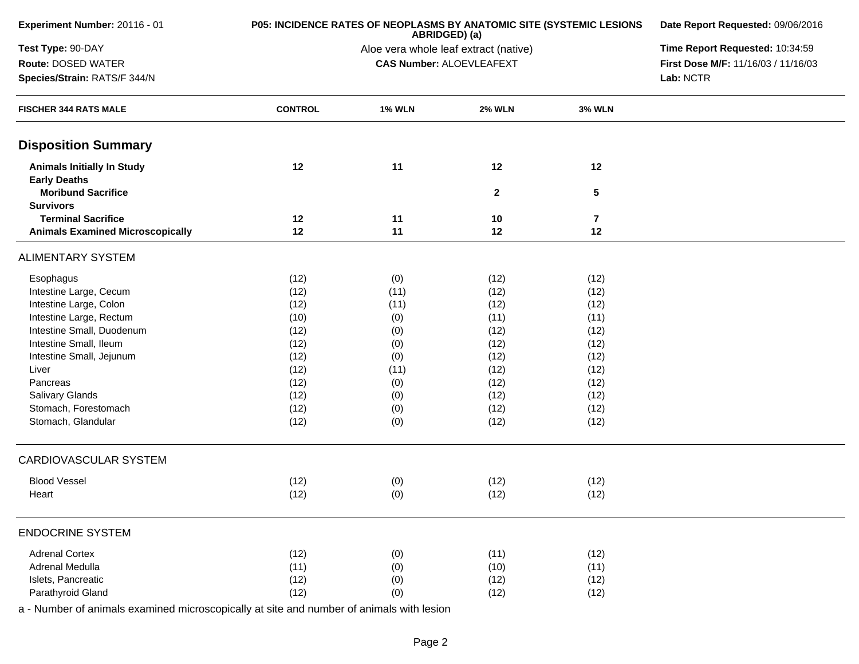| Experiment Number: 20116 - 01                            | P05: INCIDENCE RATES OF NEOPLASMS BY ANATOMIC SITE (SYSTEMIC LESIONS | Date Report Requested: 09/06/2016     |                                 |                 |                                     |  |
|----------------------------------------------------------|----------------------------------------------------------------------|---------------------------------------|---------------------------------|-----------------|-------------------------------------|--|
| Test Type: 90-DAY                                        |                                                                      | Aloe vera whole leaf extract (native) |                                 |                 |                                     |  |
| Route: DOSED WATER                                       |                                                                      |                                       | <b>CAS Number: ALOEVLEAFEXT</b> |                 | First Dose M/F: 11/16/03 / 11/16/03 |  |
| Species/Strain: RATS/F 344/N                             |                                                                      |                                       |                                 |                 |                                     |  |
| <b>FISCHER 344 RATS MALE</b>                             | <b>CONTROL</b>                                                       | <b>1% WLN</b>                         | <b>2% WLN</b>                   | <b>3% WLN</b>   |                                     |  |
| <b>Disposition Summary</b>                               |                                                                      |                                       |                                 |                 |                                     |  |
| <b>Animals Initially In Study</b><br><b>Early Deaths</b> | 12                                                                   | 11                                    | 12                              | 12              |                                     |  |
| <b>Moribund Sacrifice</b><br><b>Survivors</b>            |                                                                      |                                       | $\mathbf{2}$                    | $5\phantom{.0}$ |                                     |  |
| <b>Terminal Sacrifice</b>                                | 12                                                                   | 11                                    | 10                              | $\overline{7}$  |                                     |  |
| <b>Animals Examined Microscopically</b>                  | 12                                                                   | 11                                    | 12                              | 12              |                                     |  |
| <b>ALIMENTARY SYSTEM</b>                                 |                                                                      |                                       |                                 |                 |                                     |  |
| Esophagus                                                | (12)                                                                 | (0)                                   | (12)                            | (12)            |                                     |  |
| Intestine Large, Cecum                                   | (12)                                                                 | (11)                                  | (12)                            | (12)            |                                     |  |
| Intestine Large, Colon                                   | (12)                                                                 | (11)                                  | (12)                            | (12)            |                                     |  |
| Intestine Large, Rectum                                  | (10)                                                                 | (0)                                   | (11)                            | (11)            |                                     |  |
| Intestine Small, Duodenum                                | (12)                                                                 | (0)                                   | (12)                            | (12)            |                                     |  |
| Intestine Small, Ileum                                   | (12)                                                                 | (0)                                   | (12)                            | (12)            |                                     |  |
| Intestine Small, Jejunum                                 | (12)                                                                 | (0)                                   | (12)                            | (12)            |                                     |  |
| Liver                                                    | (12)                                                                 | (11)                                  | (12)                            | (12)            |                                     |  |
| Pancreas                                                 | (12)                                                                 | (0)                                   | (12)                            | (12)            |                                     |  |
| Salivary Glands                                          | (12)                                                                 | (0)                                   | (12)                            | (12)            |                                     |  |
| Stomach, Forestomach                                     | (12)                                                                 | (0)                                   | (12)                            | (12)            |                                     |  |
| Stomach, Glandular                                       | (12)                                                                 | (0)                                   | (12)                            | (12)            |                                     |  |
| CARDIOVASCULAR SYSTEM                                    |                                                                      |                                       |                                 |                 |                                     |  |
| <b>Blood Vessel</b>                                      | (12)                                                                 | (0)                                   | (12)                            | (12)            |                                     |  |
| Heart                                                    | (12)                                                                 | (0)                                   | (12)                            | (12)            |                                     |  |
| <b>ENDOCRINE SYSTEM</b>                                  |                                                                      |                                       |                                 |                 |                                     |  |
| <b>Adrenal Cortex</b>                                    | (12)                                                                 | (0)                                   | (11)                            | (12)            |                                     |  |
| Adrenal Medulla                                          | (11)                                                                 | (0)                                   | (10)                            | (11)            |                                     |  |
| Islets, Pancreatic                                       | (12)                                                                 | (0)                                   | (12)                            | (12)            |                                     |  |
| Parathyroid Gland                                        | (12)                                                                 | (0)                                   | (12)                            | (12)            |                                     |  |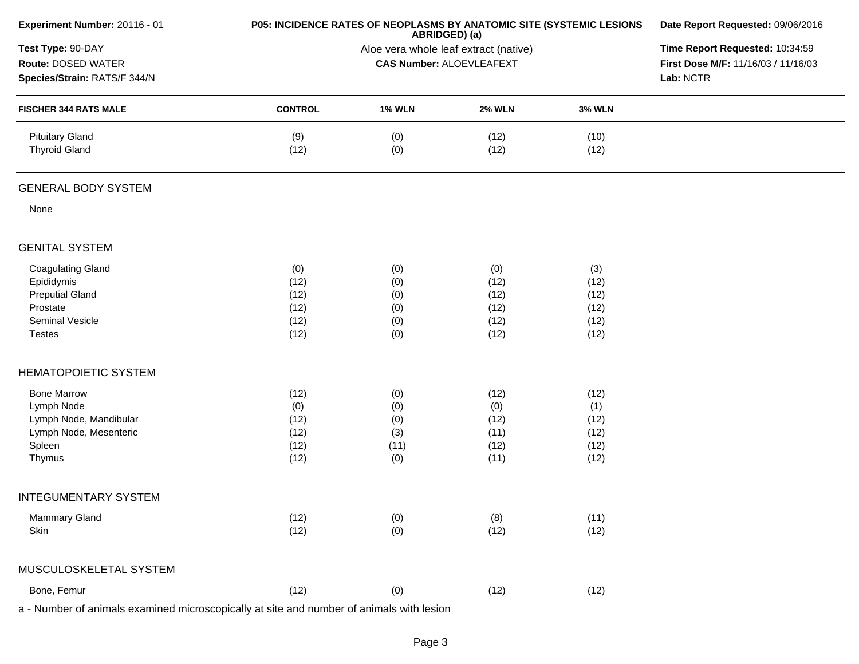| Experiment Number: 20116 - 01                                                                                    | P05: INCIDENCE RATES OF NEOPLASMS BY ANATOMIC SITE (SYSTEMIC LESIONS | Date Report Requested: 09/06/2016<br>Time Report Requested: 10:34:59<br>First Dose M/F: 11/16/03 / 11/16/03<br>Lab: NCTR |                                             |                                             |  |
|------------------------------------------------------------------------------------------------------------------|----------------------------------------------------------------------|--------------------------------------------------------------------------------------------------------------------------|---------------------------------------------|---------------------------------------------|--|
| Test Type: 90-DAY<br>Route: DOSED WATER<br>Species/Strain: RATS/F 344/N                                          |                                                                      |                                                                                                                          |                                             |                                             |  |
| <b>FISCHER 344 RATS MALE</b>                                                                                     | <b>CONTROL</b>                                                       | <b>1% WLN</b>                                                                                                            | <b>2% WLN</b>                               | <b>3% WLN</b>                               |  |
| <b>Pituitary Gland</b><br><b>Thyroid Gland</b>                                                                   | (9)<br>(12)                                                          | (0)<br>(0)                                                                                                               | (12)<br>(12)                                | (10)<br>(12)                                |  |
| <b>GENERAL BODY SYSTEM</b>                                                                                       |                                                                      |                                                                                                                          |                                             |                                             |  |
| None                                                                                                             |                                                                      |                                                                                                                          |                                             |                                             |  |
| <b>GENITAL SYSTEM</b>                                                                                            |                                                                      |                                                                                                                          |                                             |                                             |  |
| <b>Coagulating Gland</b><br>Epididymis<br><b>Preputial Gland</b><br>Prostate<br>Seminal Vesicle<br><b>Testes</b> | (0)<br>(12)<br>(12)<br>(12)<br>(12)<br>(12)                          | (0)<br>(0)<br>(0)<br>(0)<br>(0)<br>(0)                                                                                   | (0)<br>(12)<br>(12)<br>(12)<br>(12)<br>(12) | (3)<br>(12)<br>(12)<br>(12)<br>(12)<br>(12) |  |
| <b>HEMATOPOIETIC SYSTEM</b>                                                                                      |                                                                      |                                                                                                                          |                                             |                                             |  |
| <b>Bone Marrow</b><br>Lymph Node<br>Lymph Node, Mandibular<br>Lymph Node, Mesenteric<br>Spleen<br>Thymus         | (12)<br>(0)<br>(12)<br>(12)<br>(12)<br>(12)                          | (0)<br>(0)<br>(0)<br>(3)<br>(11)<br>(0)                                                                                  | (12)<br>(0)<br>(12)<br>(11)<br>(12)<br>(11) | (12)<br>(1)<br>(12)<br>(12)<br>(12)<br>(12) |  |
| <b>INTEGUMENTARY SYSTEM</b>                                                                                      |                                                                      |                                                                                                                          |                                             |                                             |  |
| <b>Mammary Gland</b><br>Skin                                                                                     | (12)<br>(12)                                                         | (0)<br>(0)                                                                                                               | (8)<br>(12)                                 | (11)<br>(12)                                |  |
| MUSCULOSKELETAL SYSTEM                                                                                           |                                                                      |                                                                                                                          |                                             |                                             |  |
| Bone, Femur                                                                                                      | (12)                                                                 | (0)                                                                                                                      | (12)                                        | (12)                                        |  |
| a - Number of animals examined microscopically at site and number of animals with lesion                         |                                                                      |                                                                                                                          |                                             |                                             |  |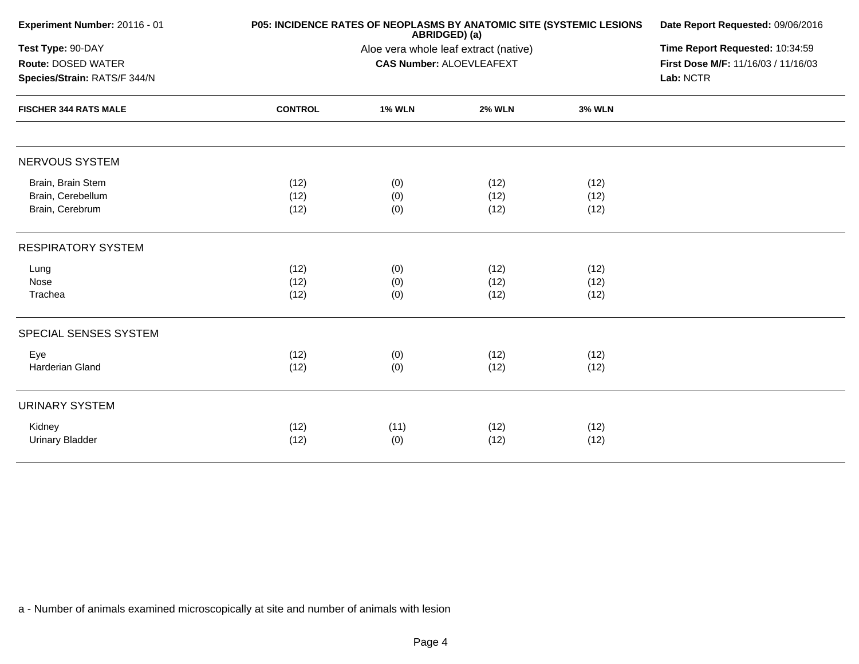| Experiment Number: 20116 - 01                                                                           |                      | P05: INCIDENCE RATES OF NEOPLASMS BY ANATOMIC SITE (SYSTEMIC LESIONS<br>ABRIDGED) (a) |                      |                      |  |  |
|---------------------------------------------------------------------------------------------------------|----------------------|---------------------------------------------------------------------------------------|----------------------|----------------------|--|--|
| Test Type: 90-DAY<br>Route: DOSED WATER<br>Species/Strain: RATS/F 344/N<br><b>FISCHER 344 RATS MALE</b> |                      | Time Report Requested: 10:34:59<br>First Dose M/F: 11/16/03 / 11/16/03<br>Lab: NCTR   |                      |                      |  |  |
|                                                                                                         | <b>CONTROL</b>       | <b>1% WLN</b>                                                                         | <b>2% WLN</b>        | <b>3% WLN</b>        |  |  |
| NERVOUS SYSTEM                                                                                          |                      |                                                                                       |                      |                      |  |  |
| Brain, Brain Stem<br>Brain, Cerebellum<br>Brain, Cerebrum                                               | (12)<br>(12)<br>(12) | (0)<br>(0)<br>(0)                                                                     | (12)<br>(12)<br>(12) | (12)<br>(12)<br>(12) |  |  |
| <b>RESPIRATORY SYSTEM</b>                                                                               |                      |                                                                                       |                      |                      |  |  |
| Lung<br>Nose<br>Trachea                                                                                 | (12)<br>(12)<br>(12) | (0)<br>(0)<br>(0)                                                                     | (12)<br>(12)<br>(12) | (12)<br>(12)<br>(12) |  |  |
| SPECIAL SENSES SYSTEM                                                                                   |                      |                                                                                       |                      |                      |  |  |
| Eye<br>Harderian Gland                                                                                  | (12)<br>(12)         | (0)<br>(0)                                                                            | (12)<br>(12)         | (12)<br>(12)         |  |  |
| <b>URINARY SYSTEM</b>                                                                                   |                      |                                                                                       |                      |                      |  |  |
| Kidney<br><b>Urinary Bladder</b>                                                                        | (12)<br>(12)         | (11)<br>(0)                                                                           | (12)<br>(12)         | (12)<br>(12)         |  |  |
|                                                                                                         |                      |                                                                                       |                      |                      |  |  |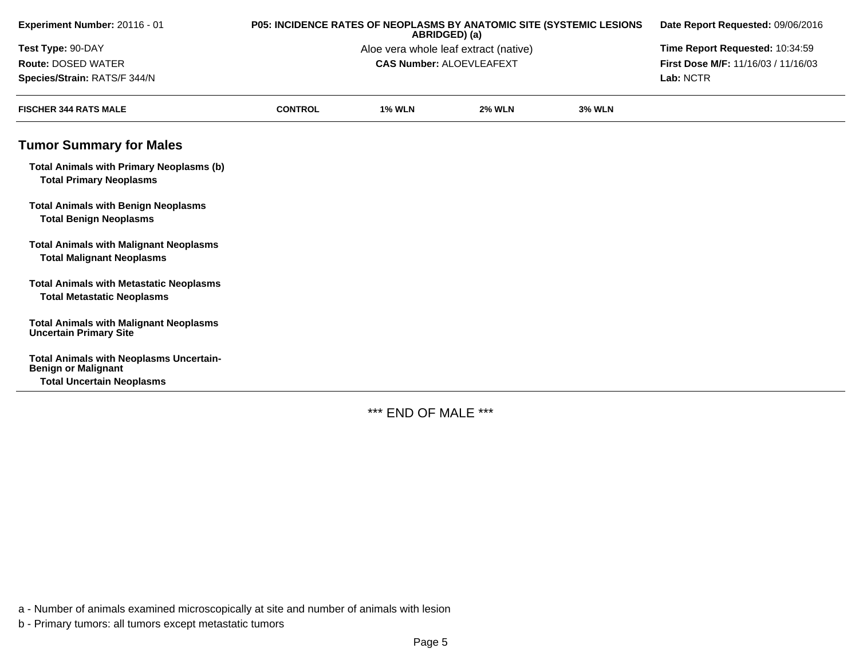| Experiment Number: 20116 - 01                                                       | P05: INCIDENCE RATES OF NEOPLASMS BY ANATOMIC SITE (SYSTEMIC LESIONS | Date Report Requested: 09/06/2016 |                                 |               |                                     |
|-------------------------------------------------------------------------------------|----------------------------------------------------------------------|-----------------------------------|---------------------------------|---------------|-------------------------------------|
| Test Type: 90-DAY                                                                   | Aloe vera whole leaf extract (native)                                |                                   |                                 |               |                                     |
| Route: DOSED WATER                                                                  |                                                                      |                                   | <b>CAS Number: ALOEVLEAFEXT</b> |               | First Dose M/F: 11/16/03 / 11/16/03 |
| Species/Strain: RATS/F 344/N                                                        |                                                                      |                                   |                                 |               | Lab: NCTR                           |
| <b>FISCHER 344 RATS MALE</b>                                                        | <b>CONTROL</b>                                                       | <b>1% WLN</b>                     | <b>2% WLN</b>                   | <b>3% WLN</b> |                                     |
| <b>Tumor Summary for Males</b>                                                      |                                                                      |                                   |                                 |               |                                     |
| <b>Total Animals with Primary Neoplasms (b)</b><br><b>Total Primary Neoplasms</b>   |                                                                      |                                   |                                 |               |                                     |
| <b>Total Animals with Benign Neoplasms</b><br><b>Total Benign Neoplasms</b>         |                                                                      |                                   |                                 |               |                                     |
| <b>Total Animals with Malignant Neoplasms</b><br><b>Total Malignant Neoplasms</b>   |                                                                      |                                   |                                 |               |                                     |
| <b>Total Animals with Metastatic Neoplasms</b><br><b>Total Metastatic Neoplasms</b> |                                                                      |                                   |                                 |               |                                     |
| <b>Total Animals with Malignant Neoplasms</b><br><b>Uncertain Primary Site</b>      |                                                                      |                                   |                                 |               |                                     |
| <b>Total Animals with Neoplasms Uncertain-</b><br><b>Benign or Malignant</b>        |                                                                      |                                   |                                 |               |                                     |
| <b>Total Uncertain Neoplasms</b>                                                    |                                                                      |                                   |                                 |               |                                     |

\*\*\* END OF MALE \*\*\*

a - Number of animals examined microscopically at site and number of animals with lesion

b - Primary tumors: all tumors except metastatic tumors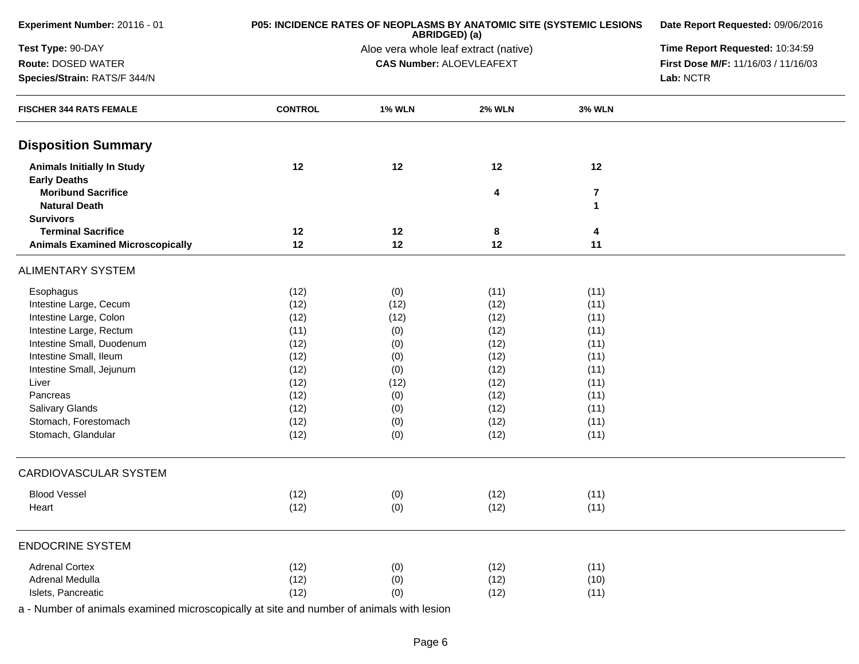| Experiment Number: 20116 - 01                     | <b>P05: INCIDENCE RATES OF NEOPLASMS BY ANATOMIC SITE (SYSTEMIC LESIONS)</b> | Date Report Requested: 09/06/2016     |                                 |                              |                                     |  |
|---------------------------------------------------|------------------------------------------------------------------------------|---------------------------------------|---------------------------------|------------------------------|-------------------------------------|--|
| Test Type: 90-DAY                                 |                                                                              | Aloe vera whole leaf extract (native) |                                 |                              |                                     |  |
| <b>Route: DOSED WATER</b>                         |                                                                              |                                       | <b>CAS Number: ALOEVLEAFEXT</b> |                              | First Dose M/F: 11/16/03 / 11/16/03 |  |
| Species/Strain: RATS/F 344/N                      |                                                                              |                                       |                                 |                              |                                     |  |
| <b>FISCHER 344 RATS FEMALE</b>                    | <b>CONTROL</b>                                                               | <b>1% WLN</b>                         | <b>2% WLN</b>                   | <b>3% WLN</b>                |                                     |  |
| <b>Disposition Summary</b>                        |                                                                              |                                       |                                 |                              |                                     |  |
| <b>Animals Initially In Study</b>                 | 12                                                                           | 12                                    | 12                              | 12                           |                                     |  |
| <b>Early Deaths</b>                               |                                                                              |                                       |                                 |                              |                                     |  |
| <b>Moribund Sacrifice</b><br><b>Natural Death</b> |                                                                              |                                       | 4                               | $\overline{\mathbf{r}}$<br>1 |                                     |  |
| <b>Survivors</b>                                  |                                                                              |                                       |                                 |                              |                                     |  |
| <b>Terminal Sacrifice</b>                         | 12                                                                           | 12                                    | 8                               | 4                            |                                     |  |
| <b>Animals Examined Microscopically</b>           | 12                                                                           | 12                                    | 12                              | 11                           |                                     |  |
| <b>ALIMENTARY SYSTEM</b>                          |                                                                              |                                       |                                 |                              |                                     |  |
| Esophagus                                         | (12)                                                                         | (0)                                   | (11)                            | (11)                         |                                     |  |
| Intestine Large, Cecum                            | (12)                                                                         | (12)                                  | (12)                            | (11)                         |                                     |  |
| Intestine Large, Colon                            | (12)                                                                         | (12)                                  | (12)                            | (11)                         |                                     |  |
| Intestine Large, Rectum                           | (11)                                                                         | (0)                                   | (12)                            | (11)                         |                                     |  |
| Intestine Small, Duodenum                         | (12)                                                                         | (0)                                   | (12)                            | (11)                         |                                     |  |
| Intestine Small, Ileum                            | (12)                                                                         | (0)                                   | (12)                            | (11)                         |                                     |  |
| Intestine Small, Jejunum                          | (12)                                                                         | (0)                                   | (12)                            | (11)                         |                                     |  |
| Liver                                             | (12)                                                                         | (12)                                  | (12)                            | (11)                         |                                     |  |
| Pancreas                                          | (12)                                                                         | (0)                                   | (12)                            | (11)                         |                                     |  |
| Salivary Glands<br>Stomach, Forestomach           | (12)                                                                         | (0)                                   | (12)                            | (11)                         |                                     |  |
| Stomach, Glandular                                | (12)<br>(12)                                                                 | (0)                                   | (12)<br>(12)                    | (11)<br>(11)                 |                                     |  |
|                                                   |                                                                              | (0)                                   |                                 |                              |                                     |  |
| CARDIOVASCULAR SYSTEM                             |                                                                              |                                       |                                 |                              |                                     |  |
| <b>Blood Vessel</b>                               | (12)                                                                         | (0)                                   | (12)                            | (11)                         |                                     |  |
| Heart                                             | (12)                                                                         | (0)                                   | (12)                            | (11)                         |                                     |  |
| <b>ENDOCRINE SYSTEM</b>                           |                                                                              |                                       |                                 |                              |                                     |  |
| <b>Adrenal Cortex</b>                             | (12)                                                                         | (0)                                   | (12)                            | (11)                         |                                     |  |
| Adrenal Medulla                                   | (12)                                                                         | (0)                                   | (12)                            | (10)                         |                                     |  |
| Islets, Pancreatic                                | (12)                                                                         | (0)                                   | (12)                            | (11)                         |                                     |  |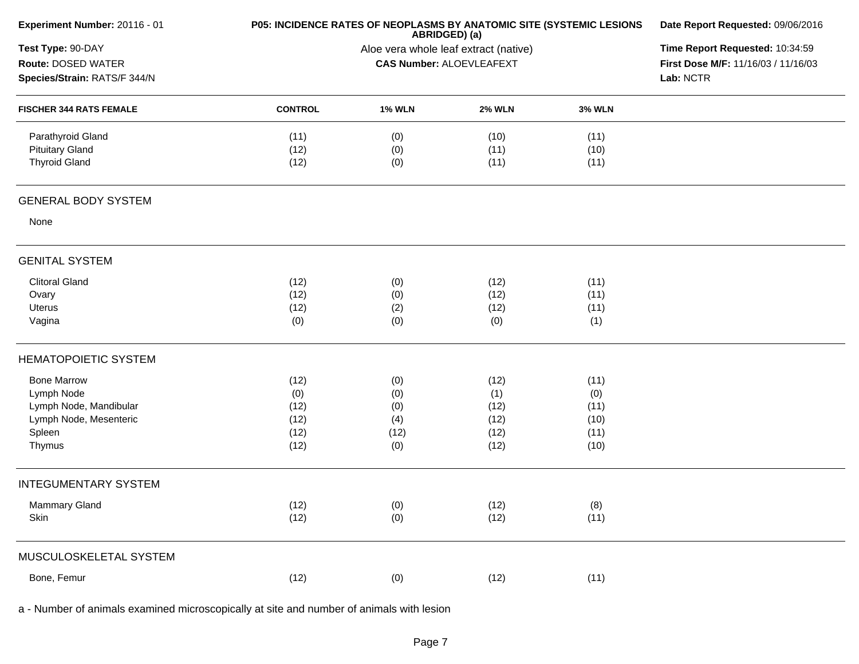| Experiment Number: 20116 - 01                                           | P05: INCIDENCE RATES OF NEOPLASMS BY ANATOMIC SITE (SYSTEMIC LESIONS | Date Report Requested: 09/06/2016<br>Time Report Requested: 10:34:59<br>First Dose M/F: 11/16/03 / 11/16/03<br>Lab: NCTR |                      |                      |  |
|-------------------------------------------------------------------------|----------------------------------------------------------------------|--------------------------------------------------------------------------------------------------------------------------|----------------------|----------------------|--|
| Test Type: 90-DAY<br>Route: DOSED WATER<br>Species/Strain: RATS/F 344/N |                                                                      |                                                                                                                          |                      |                      |  |
| <b>FISCHER 344 RATS FEMALE</b>                                          | <b>CONTROL</b>                                                       | <b>1% WLN</b>                                                                                                            | <b>2% WLN</b>        | <b>3% WLN</b>        |  |
| Parathyroid Gland<br><b>Pituitary Gland</b><br><b>Thyroid Gland</b>     | (11)<br>(12)<br>(12)                                                 | (0)<br>(0)<br>(0)                                                                                                        | (10)<br>(11)<br>(11) | (11)<br>(10)<br>(11) |  |
| <b>GENERAL BODY SYSTEM</b>                                              |                                                                      |                                                                                                                          |                      |                      |  |
| None                                                                    |                                                                      |                                                                                                                          |                      |                      |  |
| <b>GENITAL SYSTEM</b>                                                   |                                                                      |                                                                                                                          |                      |                      |  |
| <b>Clitoral Gland</b>                                                   | (12)                                                                 | (0)                                                                                                                      | (12)                 | (11)                 |  |
| Ovary<br>Uterus                                                         | (12)<br>(12)                                                         | (0)                                                                                                                      | (12)<br>(12)         | (11)                 |  |
| Vagina                                                                  | (0)                                                                  | (2)<br>(0)                                                                                                               | (0)                  | (11)<br>(1)          |  |
| <b>HEMATOPOIETIC SYSTEM</b>                                             |                                                                      |                                                                                                                          |                      |                      |  |
| <b>Bone Marrow</b>                                                      | (12)                                                                 | (0)                                                                                                                      | (12)                 | (11)                 |  |
| Lymph Node                                                              | (0)                                                                  | (0)                                                                                                                      | (1)                  | (0)                  |  |
| Lymph Node, Mandibular<br>Lymph Node, Mesenteric                        | (12)<br>(12)                                                         | (0)                                                                                                                      | (12)                 | (11)<br>(10)         |  |
| Spleen                                                                  | (12)                                                                 | (4)<br>(12)                                                                                                              | (12)<br>(12)         | (11)                 |  |
| Thymus                                                                  | (12)                                                                 | (0)                                                                                                                      | (12)                 | (10)                 |  |
| <b>INTEGUMENTARY SYSTEM</b>                                             |                                                                      |                                                                                                                          |                      |                      |  |
| Mammary Gland                                                           | (12)                                                                 | (0)                                                                                                                      | (12)                 | (8)                  |  |
| Skin                                                                    | (12)                                                                 | (0)                                                                                                                      | (12)                 | (11)                 |  |
| MUSCULOSKELETAL SYSTEM                                                  |                                                                      |                                                                                                                          |                      |                      |  |
| Bone, Femur                                                             | (12)                                                                 | (0)                                                                                                                      | (12)                 | (11)                 |  |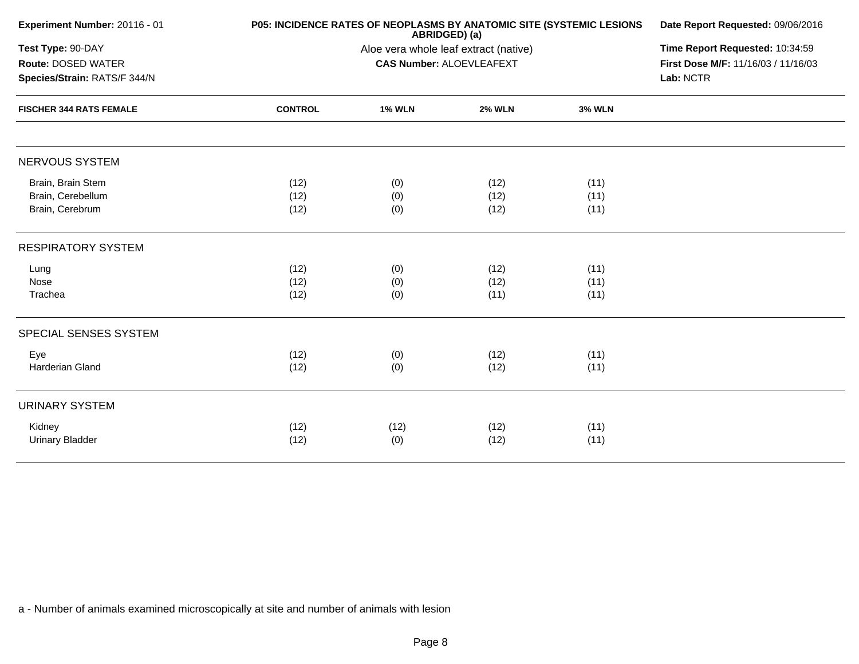| Experiment Number: 20116 - 01                                                                                    |                      | P05: INCIDENCE RATES OF NEOPLASMS BY ANATOMIC SITE (SYSTEMIC LESIONS<br>ABRIDGED) (a) |                      |                      |  |  |
|------------------------------------------------------------------------------------------------------------------|----------------------|---------------------------------------------------------------------------------------|----------------------|----------------------|--|--|
| Test Type: 90-DAY<br><b>Route: DOSED WATER</b><br>Species/Strain: RATS/F 344/N<br><b>FISCHER 344 RATS FEMALE</b> |                      | Time Report Requested: 10:34:59<br>First Dose M/F: 11/16/03 / 11/16/03<br>Lab: NCTR   |                      |                      |  |  |
|                                                                                                                  | <b>CONTROL</b>       | <b>1% WLN</b>                                                                         | <b>2% WLN</b>        | <b>3% WLN</b>        |  |  |
| NERVOUS SYSTEM                                                                                                   |                      |                                                                                       |                      |                      |  |  |
| Brain, Brain Stem<br>Brain, Cerebellum<br>Brain, Cerebrum                                                        | (12)<br>(12)<br>(12) | (0)<br>(0)<br>(0)                                                                     | (12)<br>(12)<br>(12) | (11)<br>(11)<br>(11) |  |  |
| <b>RESPIRATORY SYSTEM</b>                                                                                        |                      |                                                                                       |                      |                      |  |  |
| Lung<br>Nose<br>Trachea                                                                                          | (12)<br>(12)<br>(12) | (0)<br>(0)<br>(0)                                                                     | (12)<br>(12)<br>(11) | (11)<br>(11)<br>(11) |  |  |
| SPECIAL SENSES SYSTEM                                                                                            |                      |                                                                                       |                      |                      |  |  |
| Eye<br>Harderian Gland                                                                                           | (12)<br>(12)         | (0)<br>(0)                                                                            | (12)<br>(12)         | (11)<br>(11)         |  |  |
| <b>URINARY SYSTEM</b>                                                                                            |                      |                                                                                       |                      |                      |  |  |
| Kidney<br><b>Urinary Bladder</b>                                                                                 | (12)<br>(12)         | (12)<br>(0)                                                                           | (12)<br>(12)         | (11)<br>(11)         |  |  |
|                                                                                                                  |                      |                                                                                       |                      |                      |  |  |